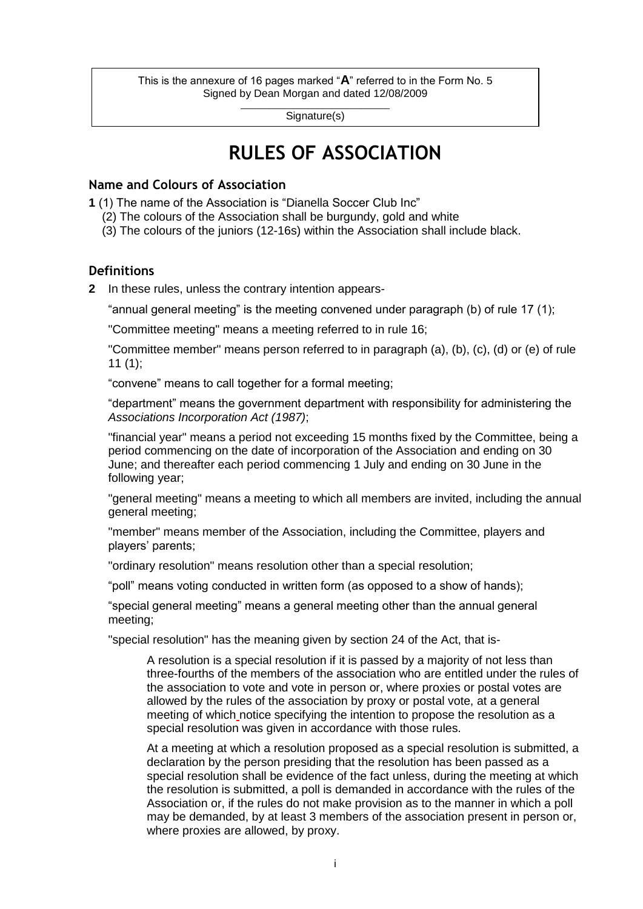This is the annexure of 16 pages marked "**A**" referred to in the Form No. 5 Signed by Dean Morgan and dated 12/08/2009

> \_\_\_\_\_\_\_\_\_\_\_\_\_\_\_\_\_\_\_\_\_\_\_\_\_\_\_\_\_\_\_ Signature(s)

# **RULES OF ASSOCIATION**

# **Name and Colours of Association**

**1** (1) The name of the Association is "Dianella Soccer Club Inc"

- (2) The colours of the Association shall be burgundy, gold and white
- (3) The colours of the juniors (12-16s) within the Association shall include black.

# **Definitions**

**2** In these rules, unless the contrary intention appears-

"annual general meeting" is the meeting convened under paragraph (b) of rule 17 (1);

"Committee meeting" means a meeting referred to in rule 16;

"Committee member" means person referred to in paragraph (a), (b), (c), (d) or (e) of rule  $11 (1);$ 

"convene" means to call together for a formal meeting;

"department" means the government department with responsibility for administering the *Associations Incorporation Act (1987)*;

"financial year" means a period not exceeding 15 months fixed by the Committee, being a period commencing on the date of incorporation of the Association and ending on 30 June; and thereafter each period commencing 1 July and ending on 30 June in the following year;

"general meeting" means a meeting to which all members are invited, including the annual general meeting;

"member" means member of the Association, including the Committee, players and players" parents;

"ordinary resolution" means resolution other than a special resolution;

"poll" means voting conducted in written form (as opposed to a show of hands);

"special general meeting" means a general meeting other than the annual general meeting;

"special resolution" has the meaning given by section 24 of the Act, that is-

A resolution is a special resolution if it is passed by a majority of not less than three-fourths of the members of the association who are entitled under the rules of the association to vote and vote in person or, where proxies or postal votes are allowed by the rules of the association by proxy or postal vote, at a general meeting of which notice specifying the intention to propose the resolution as a special resolution was given in accordance with those rules.

At a meeting at which a resolution proposed as a special resolution is submitted, a declaration by the person presiding that the resolution has been passed as a special resolution shall be evidence of the fact unless, during the meeting at which the resolution is submitted, a poll is demanded in accordance with the rules of the Association or, if the rules do not make provision as to the manner in which a poll may be demanded, by at least 3 members of the association present in person or, where proxies are allowed, by proxy.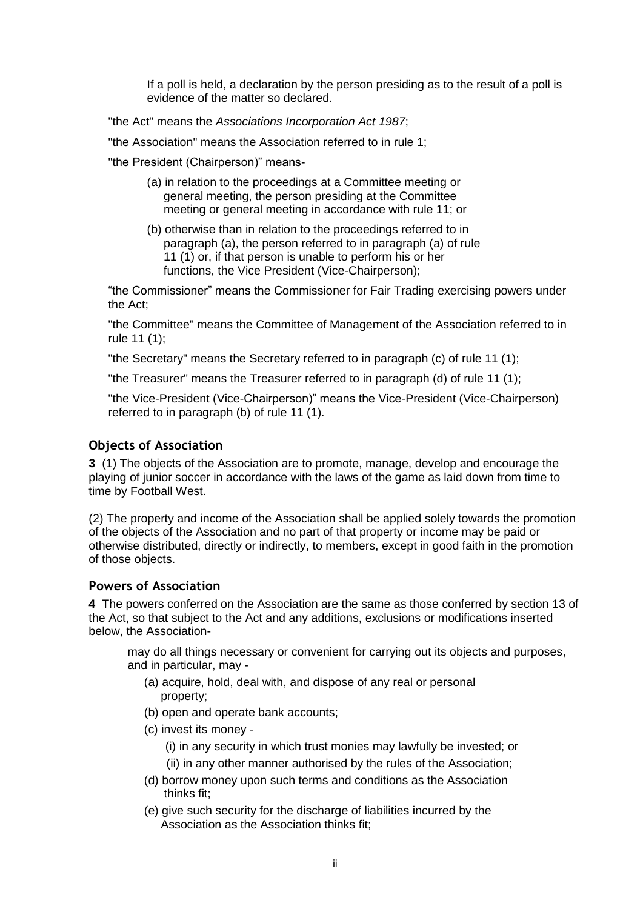If a poll is held, a declaration by the person presiding as to the result of a poll is evidence of the matter so declared.

"the Act" means the *Associations Incorporation Act 1987*;

"the Association" means the Association referred to in rule 1;

"the President (Chairperson)" means-

- (a) in relation to the proceedings at a Committee meeting or general meeting, the person presiding at the Committee meeting or general meeting in accordance with rule 11; or
- (b) otherwise than in relation to the proceedings referred to in paragraph (a), the person referred to in paragraph (a) of rule 11 (1) or, if that person is unable to perform his or her functions, the Vice President (Vice-Chairperson);

"the Commissioner" means the Commissioner for Fair Trading exercising powers under the Act;

"the Committee" means the Committee of Management of the Association referred to in rule 11 (1);

"the Secretary" means the Secretary referred to in paragraph (c) of rule 11 (1);

"the Treasurer" means the Treasurer referred to in paragraph (d) of rule 11 (1);

"the Vice-President (Vice-Chairperson)" means the Vice-President (Vice-Chairperson) referred to in paragraph (b) of rule 11 (1).

## **Objects of Association**

**3** (1) The objects of the Association are to promote, manage, develop and encourage the playing of junior soccer in accordance with the laws of the game as laid down from time to time by Football West.

(2) The property and income of the Association shall be applied solely towards the promotion of the objects of the Association and no part of that property or income may be paid or otherwise distributed, directly or indirectly, to members, except in good faith in the promotion of those objects.

#### **Powers of Association**

**4** The powers conferred on the Association are the same as those conferred by section 13 of the Act, so that subject to the Act and any additions, exclusions or modifications inserted below, the Association-

may do all things necessary or convenient for carrying out its objects and purposes, and in particular, may -

- (a) acquire, hold, deal with, and dispose of any real or personal property;
- (b) open and operate bank accounts;
- (c) invest its money
	- (i) in any security in which trust monies may lawfully be invested; or
	- (ii) in any other manner authorised by the rules of the Association;
- (d) borrow money upon such terms and conditions as the Association thinks fit;
- (e) give such security for the discharge of liabilities incurred by the Association as the Association thinks fit;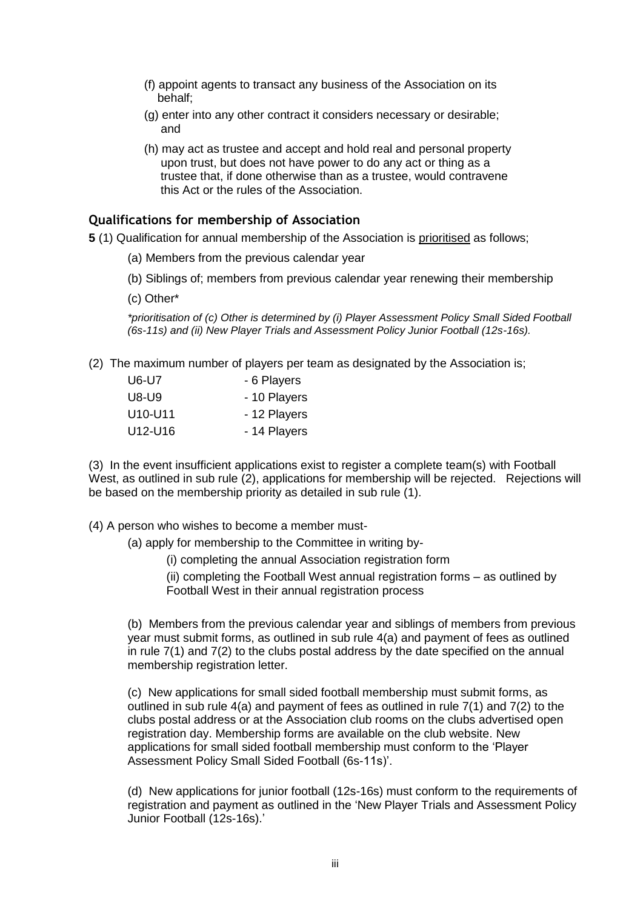- (f) appoint agents to transact any business of the Association on its behalf;
- (g) enter into any other contract it considers necessary or desirable; and
- (h) may act as trustee and accept and hold real and personal property upon trust, but does not have power to do any act or thing as a trustee that, if done otherwise than as a trustee, would contravene this Act or the rules of the Association.

#### **Qualifications for membership of Association**

**5** (1) Qualification for annual membership of the Association is prioritised as follows;

- (a) Members from the previous calendar year
- (b) Siblings of; members from previous calendar year renewing their membership
- (c) Other\*

*\*prioritisation of (c) Other is determined by (i) Player Assessment Policy Small Sided Football (6s-11s) and (ii) New Player Trials and Assessment Policy Junior Football (12s-16s).*

(2) The maximum number of players per team as designated by the Association is;

| U6-U7                            | - 6 Players  |
|----------------------------------|--------------|
| U8-U9                            | - 10 Players |
| U <sub>10</sub> -U <sub>11</sub> | - 12 Players |
| U12-U16                          | - 14 Players |

(3) In the event insufficient applications exist to register a complete team(s) with Football West, as outlined in sub rule (2), applications for membership will be rejected. Rejections will be based on the membership priority as detailed in sub rule (1).

- (4) A person who wishes to become a member must-
	- (a) apply for membership to the Committee in writing by-
		- (i) completing the annual Association registration form
		- (ii) completing the Football West annual registration forms as outlined by Football West in their annual registration process

(b) Members from the previous calendar year and siblings of members from previous year must submit forms, as outlined in sub rule 4(a) and payment of fees as outlined in rule 7(1) and 7(2) to the clubs postal address by the date specified on the annual membership registration letter.

(c) New applications for small sided football membership must submit forms, as outlined in sub rule  $4(a)$  and payment of fees as outlined in rule  $7(1)$  and  $7(2)$  to the clubs postal address or at the Association club rooms on the clubs advertised open registration day. Membership forms are available on the club website. New applications for small sided football membership must conform to the "Player Assessment Policy Small Sided Football (6s-11s)".

(d) New applications for junior football (12s-16s) must conform to the requirements of registration and payment as outlined in the "New Player Trials and Assessment Policy Junior Football (12s-16s).'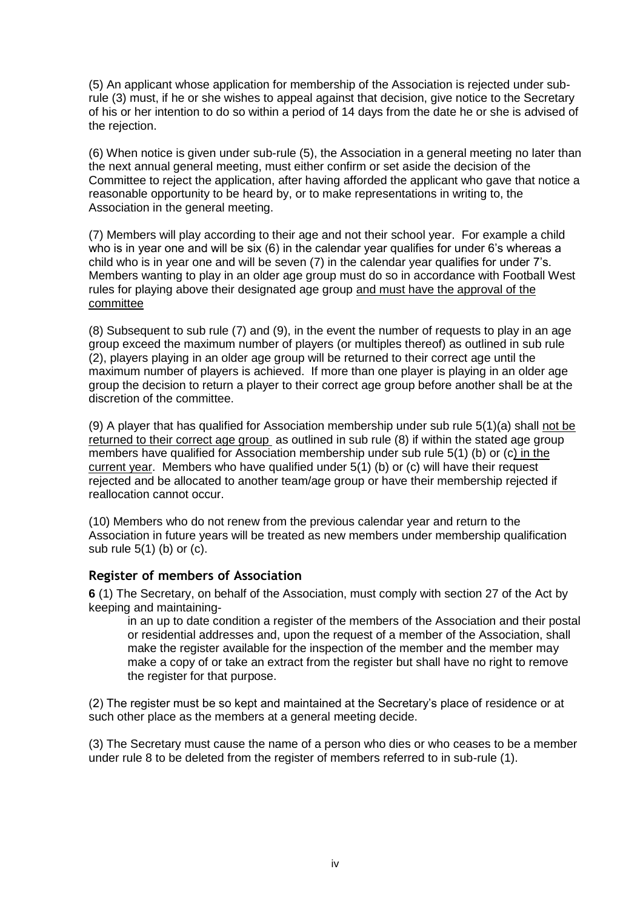(5) An applicant whose application for membership of the Association is rejected under subrule (3) must, if he or she wishes to appeal against that decision, give notice to the Secretary of his or her intention to do so within a period of 14 days from the date he or she is advised of the rejection.

(6) When notice is given under sub-rule (5), the Association in a general meeting no later than the next annual general meeting, must either confirm or set aside the decision of the Committee to reject the application, after having afforded the applicant who gave that notice a reasonable opportunity to be heard by, or to make representations in writing to, the Association in the general meeting.

(7) Members will play according to their age and not their school year. For example a child who is in year one and will be six (6) in the calendar year qualifies for under 6's whereas a child who is in year one and will be seven (7) in the calendar year qualifies for under 7"s. Members wanting to play in an older age group must do so in accordance with Football West rules for playing above their designated age group and must have the approval of the committee

(8) Subsequent to sub rule (7) and (9), in the event the number of requests to play in an age group exceed the maximum number of players (or multiples thereof) as outlined in sub rule (2), players playing in an older age group will be returned to their correct age until the maximum number of players is achieved. If more than one player is playing in an older age group the decision to return a player to their correct age group before another shall be at the discretion of the committee.

(9) A player that has qualified for Association membership under sub rule 5(1)(a) shall not be returned to their correct age group as outlined in sub rule (8) if within the stated age group members have qualified for Association membership under sub rule 5(1) (b) or (c) in the current year. Members who have qualified under 5(1) (b) or (c) will have their request rejected and be allocated to another team/age group or have their membership rejected if reallocation cannot occur.

(10) Members who do not renew from the previous calendar year and return to the Association in future years will be treated as new members under membership qualification sub rule 5(1) (b) or (c).

# **Register of members of Association**

**6** (1) The Secretary, on behalf of the Association, must comply with section 27 of the Act by keeping and maintaining-

in an up to date condition a register of the members of the Association and their postal or residential addresses and, upon the request of a member of the Association, shall make the register available for the inspection of the member and the member may make a copy of or take an extract from the register but shall have no right to remove the register for that purpose.

(2) The register must be so kept and maintained at the Secretary"s place of residence or at such other place as the members at a general meeting decide.

(3) The Secretary must cause the name of a person who dies or who ceases to be a member under rule 8 to be deleted from the register of members referred to in sub-rule (1).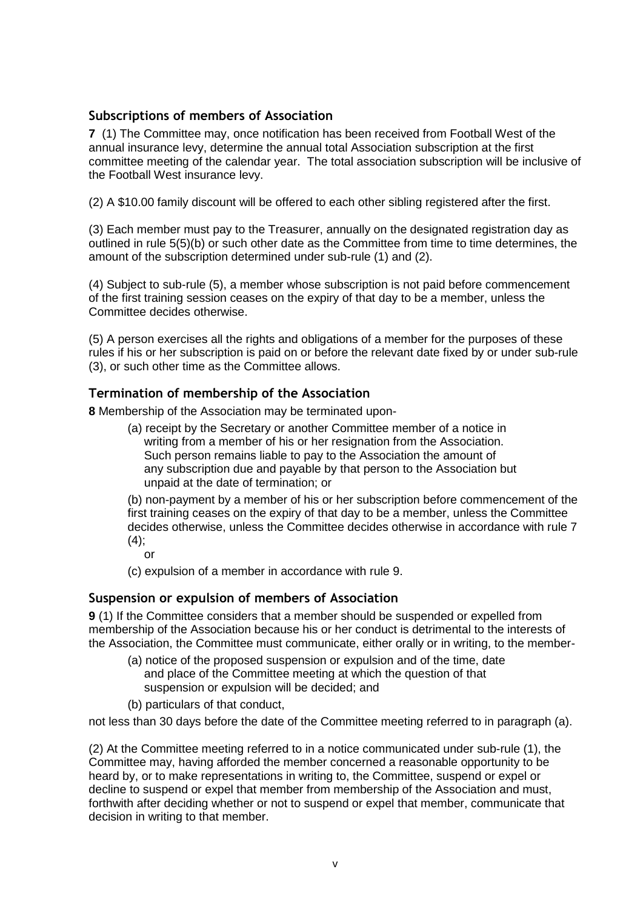## **Subscriptions of members of Association**

**7** (1) The Committee may, once notification has been received from Football West of the annual insurance levy, determine the annual total Association subscription at the first committee meeting of the calendar year. The total association subscription will be inclusive of the Football West insurance levy.

(2) A \$10.00 family discount will be offered to each other sibling registered after the first.

(3) Each member must pay to the Treasurer, annually on the designated registration day as outlined in rule 5(5)(b) or such other date as the Committee from time to time determines, the amount of the subscription determined under sub-rule (1) and (2).

(4) Subject to sub-rule (5), a member whose subscription is not paid before commencement of the first training session ceases on the expiry of that day to be a member, unless the Committee decides otherwise.

(5) A person exercises all the rights and obligations of a member for the purposes of these rules if his or her subscription is paid on or before the relevant date fixed by or under sub-rule (3), or such other time as the Committee allows.

# **Termination of membership of the Association**

**8** Membership of the Association may be terminated upon-

(a) receipt by the Secretary or another Committee member of a notice in writing from a member of his or her resignation from the Association. Such person remains liable to pay to the Association the amount of any subscription due and payable by that person to the Association but unpaid at the date of termination; or

(b) non-payment by a member of his or her subscription before commencement of the first training ceases on the expiry of that day to be a member, unless the Committee decides otherwise, unless the Committee decides otherwise in accordance with rule 7  $(4)$ ;

or

(c) expulsion of a member in accordance with rule 9.

#### **Suspension or expulsion of members of Association**

**9** (1) If the Committee considers that a member should be suspended or expelled from membership of the Association because his or her conduct is detrimental to the interests of the Association, the Committee must communicate, either orally or in writing, to the member-

- (a) notice of the proposed suspension or expulsion and of the time, date and place of the Committee meeting at which the question of that suspension or expulsion will be decided; and
- (b) particulars of that conduct,

not less than 30 days before the date of the Committee meeting referred to in paragraph (a).

(2) At the Committee meeting referred to in a notice communicated under sub-rule (1), the Committee may, having afforded the member concerned a reasonable opportunity to be heard by, or to make representations in writing to, the Committee, suspend or expel or decline to suspend or expel that member from membership of the Association and must, forthwith after deciding whether or not to suspend or expel that member, communicate that decision in writing to that member.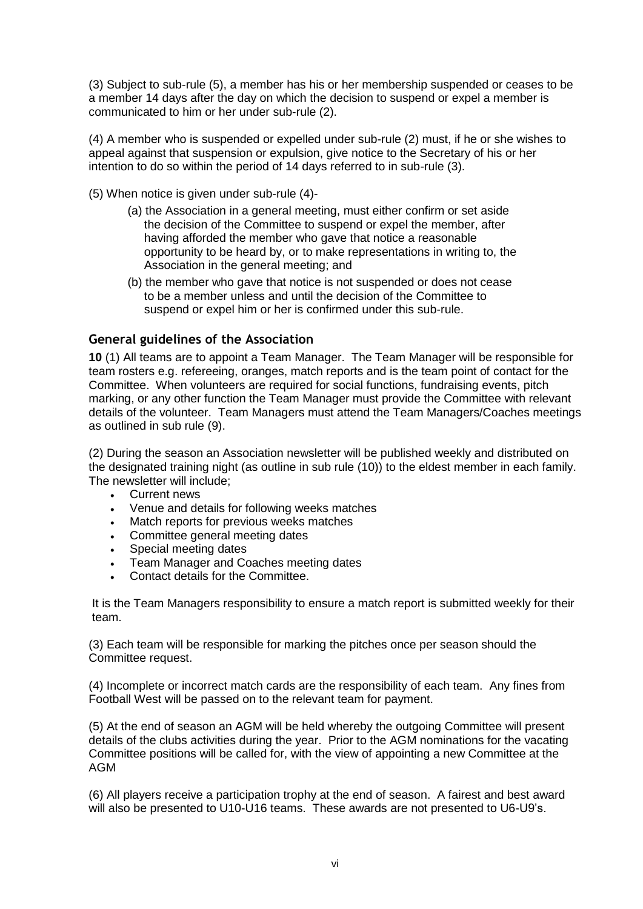(3) Subject to sub-rule (5), a member has his or her membership suspended or ceases to be a member 14 days after the day on which the decision to suspend or expel a member is communicated to him or her under sub-rule (2).

(4) A member who is suspended or expelled under sub-rule (2) must, if he or she wishes to appeal against that suspension or expulsion, give notice to the Secretary of his or her intention to do so within the period of 14 days referred to in sub-rule (3).

(5) When notice is given under sub-rule (4)-

- (a) the Association in a general meeting, must either confirm or set aside the decision of the Committee to suspend or expel the member, after having afforded the member who gave that notice a reasonable opportunity to be heard by, or to make representations in writing to, the Association in the general meeting; and
- (b) the member who gave that notice is not suspended or does not cease to be a member unless and until the decision of the Committee to suspend or expel him or her is confirmed under this sub-rule.

## **General guidelines of the Association**

**10** (1) All teams are to appoint a Team Manager. The Team Manager will be responsible for team rosters e.g. refereeing, oranges, match reports and is the team point of contact for the Committee. When volunteers are required for social functions, fundraising events, pitch marking, or any other function the Team Manager must provide the Committee with relevant details of the volunteer. Team Managers must attend the Team Managers/Coaches meetings as outlined in sub rule (9).

(2) During the season an Association newsletter will be published weekly and distributed on the designated training night (as outline in sub rule (10)) to the eldest member in each family. The newsletter will include;

- Current news
- Venue and details for following weeks matches
- Match reports for previous weeks matches
- Committee general meeting dates
- Special meeting dates
- Team Manager and Coaches meeting dates
- Contact details for the Committee.

It is the Team Managers responsibility to ensure a match report is submitted weekly for their team.

(3) Each team will be responsible for marking the pitches once per season should the Committee request.

(4) Incomplete or incorrect match cards are the responsibility of each team. Any fines from Football West will be passed on to the relevant team for payment.

(5) At the end of season an AGM will be held whereby the outgoing Committee will present details of the clubs activities during the year. Prior to the AGM nominations for the vacating Committee positions will be called for, with the view of appointing a new Committee at the AGM

(6) All players receive a participation trophy at the end of season. A fairest and best award will also be presented to U10-U16 teams. These awards are not presented to U6-U9"s.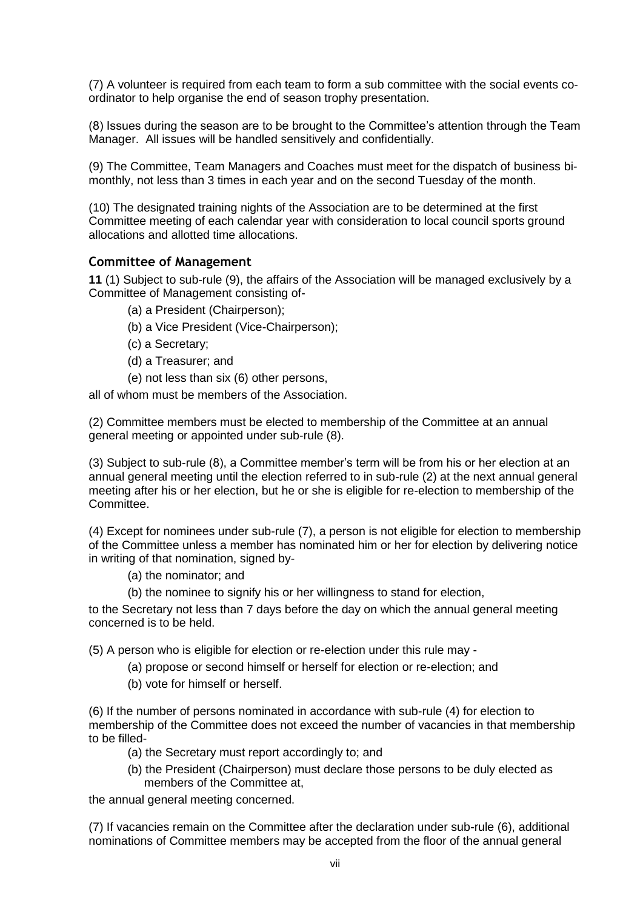(7) A volunteer is required from each team to form a sub committee with the social events coordinator to help organise the end of season trophy presentation.

(8) Issues during the season are to be brought to the Committee"s attention through the Team Manager. All issues will be handled sensitively and confidentially.

(9) The Committee, Team Managers and Coaches must meet for the dispatch of business bimonthly, not less than 3 times in each year and on the second Tuesday of the month.

(10) The designated training nights of the Association are to be determined at the first Committee meeting of each calendar year with consideration to local council sports ground allocations and allotted time allocations.

#### **Committee of Management**

**11** (1) Subject to sub-rule (9), the affairs of the Association will be managed exclusively by a Committee of Management consisting of-

- (a) a President (Chairperson);
- (b) a Vice President (Vice-Chairperson);
- (c) a Secretary;
- (d) a Treasurer; and
- (e) not less than six (6) other persons,

all of whom must be members of the Association.

(2) Committee members must be elected to membership of the Committee at an annual general meeting or appointed under sub-rule (8).

(3) Subject to sub-rule (8), a Committee member"s term will be from his or her election at an annual general meeting until the election referred to in sub-rule (2) at the next annual general meeting after his or her election, but he or she is eligible for re-election to membership of the Committee.

(4) Except for nominees under sub-rule (7), a person is not eligible for election to membership of the Committee unless a member has nominated him or her for election by delivering notice in writing of that nomination, signed by-

- (a) the nominator; and
- (b) the nominee to signify his or her willingness to stand for election,

to the Secretary not less than 7 days before the day on which the annual general meeting concerned is to be held.

(5) A person who is eligible for election or re-election under this rule may -

- (a) propose or second himself or herself for election or re-election; and
- (b) vote for himself or herself.

(6) If the number of persons nominated in accordance with sub-rule (4) for election to membership of the Committee does not exceed the number of vacancies in that membership to be filled-

- (a) the Secretary must report accordingly to; and
- (b) the President (Chairperson) must declare those persons to be duly elected as members of the Committee at,

the annual general meeting concerned.

(7) If vacancies remain on the Committee after the declaration under sub-rule (6), additional nominations of Committee members may be accepted from the floor of the annual general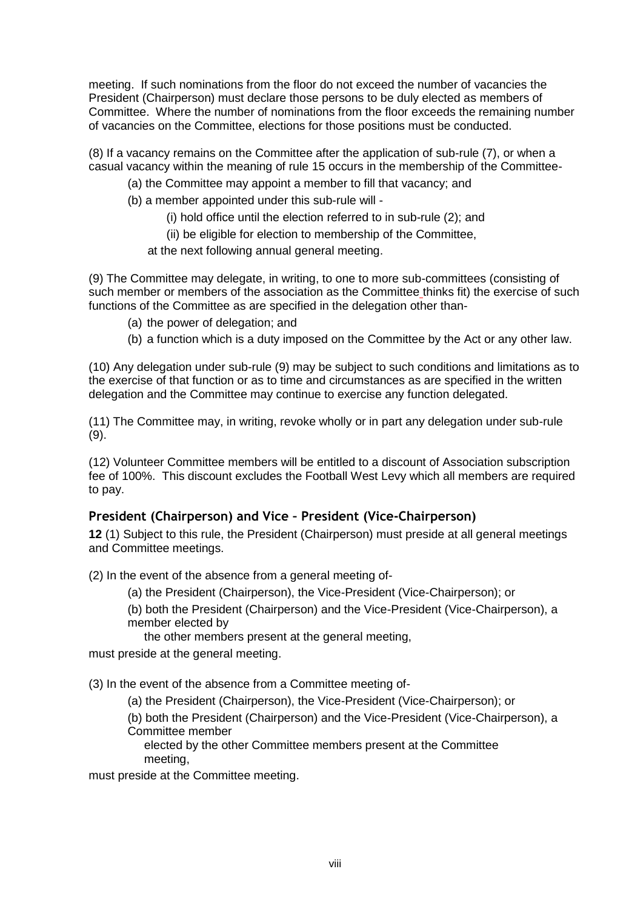meeting. If such nominations from the floor do not exceed the number of vacancies the President (Chairperson) must declare those persons to be duly elected as members of Committee. Where the number of nominations from the floor exceeds the remaining number of vacancies on the Committee, elections for those positions must be conducted.

(8) If a vacancy remains on the Committee after the application of sub-rule (7), or when a casual vacancy within the meaning of rule 15 occurs in the membership of the Committee-

(a) the Committee may appoint a member to fill that vacancy; and

(b) a member appointed under this sub-rule will -

(i) hold office until the election referred to in sub-rule (2); and

(ii) be eligible for election to membership of the Committee,

at the next following annual general meeting.

(9) The Committee may delegate, in writing, to one to more sub-committees (consisting of such member or members of the association as the Committee thinks fit) the exercise of such functions of the Committee as are specified in the delegation other than-

- (a) the power of delegation; and
- (b) a function which is a duty imposed on the Committee by the Act or any other law.

(10) Any delegation under sub-rule (9) may be subject to such conditions and limitations as to the exercise of that function or as to time and circumstances as are specified in the written delegation and the Committee may continue to exercise any function delegated.

(11) The Committee may, in writing, revoke wholly or in part any delegation under sub-rule (9).

(12) Volunteer Committee members will be entitled to a discount of Association subscription fee of 100%. This discount excludes the Football West Levy which all members are required to pay.

# **President (Chairperson) and Vice – President (Vice-Chairperson)**

**12** (1) Subject to this rule, the President (Chairperson) must preside at all general meetings and Committee meetings.

(2) In the event of the absence from a general meeting of-

- (a) the President (Chairperson), the Vice-President (Vice-Chairperson); or
- (b) both the President (Chairperson) and the Vice-President (Vice-Chairperson), a member elected by

the other members present at the general meeting,

must preside at the general meeting.

(3) In the event of the absence from a Committee meeting of-

(a) the President (Chairperson), the Vice-President (Vice-Chairperson); or

(b) both the President (Chairperson) and the Vice-President (Vice-Chairperson), a Committee member

 elected by the other Committee members present at the Committee meeting,

must preside at the Committee meeting.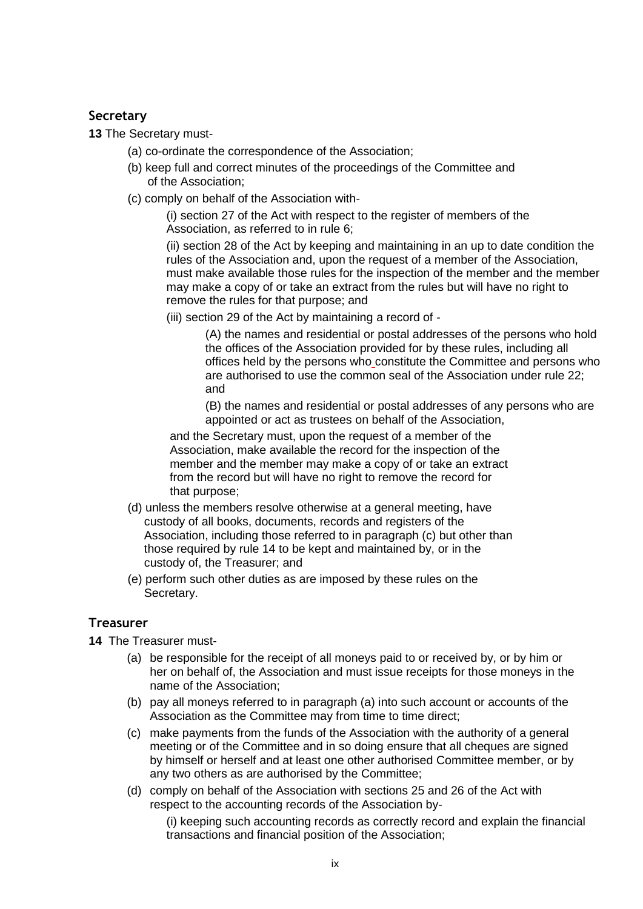# **Secretary**

**13** The Secretary must-

- (a) co-ordinate the correspondence of the Association;
- (b) keep full and correct minutes of the proceedings of the Committee and of the Association;
- (c) comply on behalf of the Association with-

(i) section 27 of the Act with respect to the register of members of the Association, as referred to in rule 6;

(ii) section 28 of the Act by keeping and maintaining in an up to date condition the rules of the Association and, upon the request of a member of the Association, must make available those rules for the inspection of the member and the member may make a copy of or take an extract from the rules but will have no right to remove the rules for that purpose; and

(iii) section 29 of the Act by maintaining a record of -

(A) the names and residential or postal addresses of the persons who hold the offices of the Association provided for by these rules, including all offices held by the persons who constitute the Committee and persons who are authorised to use the common seal of the Association under rule 22; and

(B) the names and residential or postal addresses of any persons who are appointed or act as trustees on behalf of the Association,

and the Secretary must, upon the request of a member of the Association, make available the record for the inspection of the member and the member may make a copy of or take an extract from the record but will have no right to remove the record for that purpose;

- (d) unless the members resolve otherwise at a general meeting, have custody of all books, documents, records and registers of the Association, including those referred to in paragraph (c) but other than those required by rule 14 to be kept and maintained by, or in the custody of, the Treasurer; and
- (e) perform such other duties as are imposed by these rules on the Secretary.

# **Treasurer**

- **14** The Treasurer must-
	- (a) be responsible for the receipt of all moneys paid to or received by, or by him or her on behalf of, the Association and must issue receipts for those moneys in the name of the Association;
	- (b) pay all moneys referred to in paragraph (a) into such account or accounts of the Association as the Committee may from time to time direct;
	- (c) make payments from the funds of the Association with the authority of a general meeting or of the Committee and in so doing ensure that all cheques are signed by himself or herself and at least one other authorised Committee member, or by any two others as are authorised by the Committee;
	- (d) comply on behalf of the Association with sections 25 and 26 of the Act with respect to the accounting records of the Association by-

(i) keeping such accounting records as correctly record and explain the financial transactions and financial position of the Association;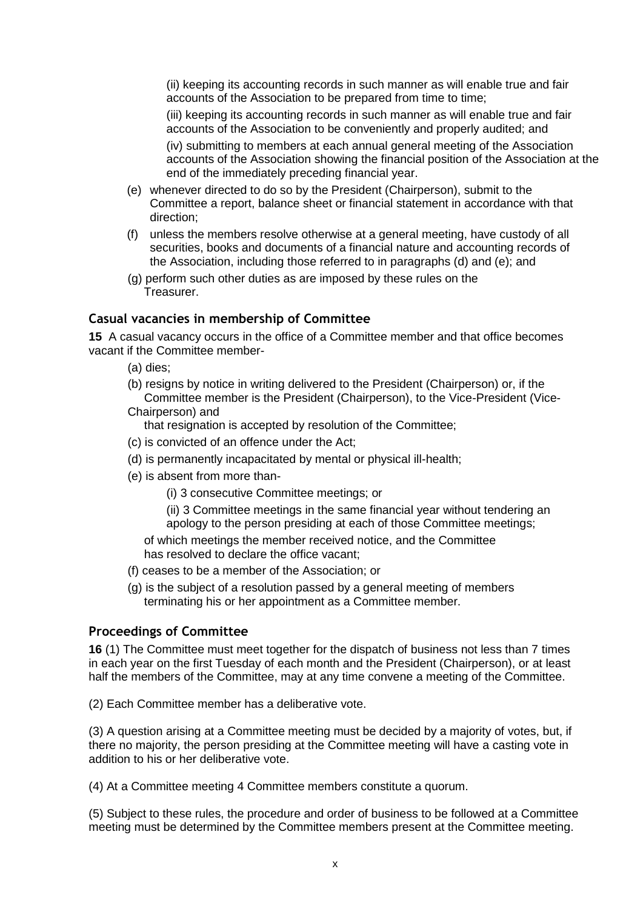(ii) keeping its accounting records in such manner as will enable true and fair accounts of the Association to be prepared from time to time;

(iii) keeping its accounting records in such manner as will enable true and fair accounts of the Association to be conveniently and properly audited; and

(iv) submitting to members at each annual general meeting of the Association accounts of the Association showing the financial position of the Association at the end of the immediately preceding financial year.

- (e) whenever directed to do so by the President (Chairperson), submit to the Committee a report, balance sheet or financial statement in accordance with that direction;
- (f) unless the members resolve otherwise at a general meeting, have custody of all securities, books and documents of a financial nature and accounting records of the Association, including those referred to in paragraphs (d) and (e); and
- (g) perform such other duties as are imposed by these rules on the Treasurer.

#### **Casual vacancies in membership of Committee**

**15** A casual vacancy occurs in the office of a Committee member and that office becomes vacant if the Committee member-

- (a) dies;
- (b) resigns by notice in writing delivered to the President (Chairperson) or, if the Committee member is the President (Chairperson), to the Vice-President (Vice-Chairperson) and

that resignation is accepted by resolution of the Committee;

- (c) is convicted of an offence under the Act;
- (d) is permanently incapacitated by mental or physical ill-health;
- (e) is absent from more than-

(i) 3 consecutive Committee meetings; or

(ii) 3 Committee meetings in the same financial year without tendering an apology to the person presiding at each of those Committee meetings;

 of which meetings the member received notice, and the Committee has resolved to declare the office vacant;

- (f) ceases to be a member of the Association; or
- (g) is the subject of a resolution passed by a general meeting of members terminating his or her appointment as a Committee member.

#### **Proceedings of Committee**

**16** (1) The Committee must meet together for the dispatch of business not less than 7 times in each year on the first Tuesday of each month and the President (Chairperson), or at least half the members of the Committee, may at any time convene a meeting of the Committee.

(2) Each Committee member has a deliberative vote.

(3) A question arising at a Committee meeting must be decided by a majority of votes, but, if there no majority, the person presiding at the Committee meeting will have a casting vote in addition to his or her deliberative vote.

(4) At a Committee meeting 4 Committee members constitute a quorum.

(5) Subject to these rules, the procedure and order of business to be followed at a Committee meeting must be determined by the Committee members present at the Committee meeting.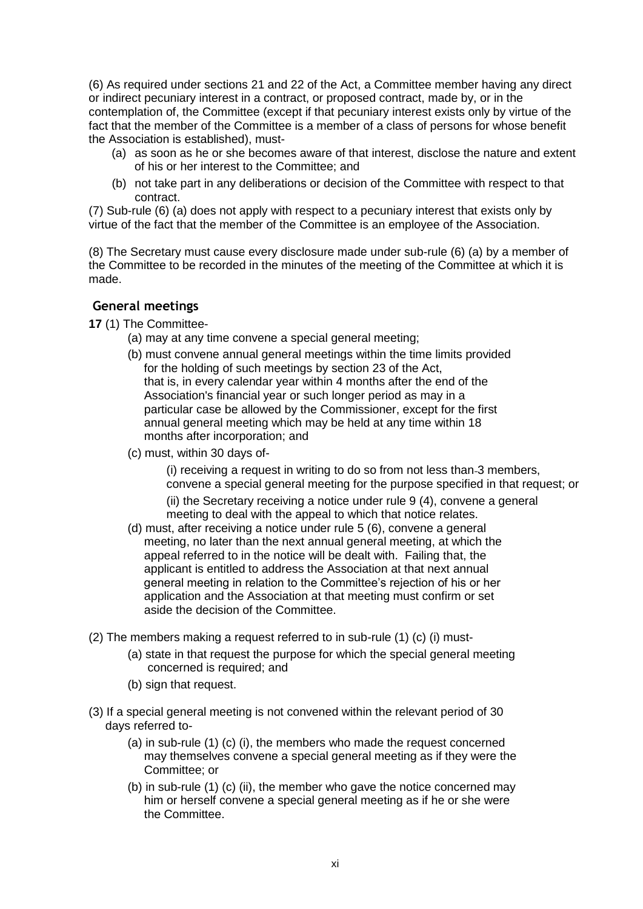(6) As required under sections 21 and 22 of the Act, a Committee member having any direct or indirect pecuniary interest in a contract, or proposed contract, made by, or in the contemplation of, the Committee (except if that pecuniary interest exists only by virtue of the fact that the member of the Committee is a member of a class of persons for whose benefit the Association is established), must-

- (a) as soon as he or she becomes aware of that interest, disclose the nature and extent of his or her interest to the Committee; and
- (b) not take part in any deliberations or decision of the Committee with respect to that contract.

(7) Sub-rule (6) (a) does not apply with respect to a pecuniary interest that exists only by virtue of the fact that the member of the Committee is an employee of the Association.

(8) The Secretary must cause every disclosure made under sub-rule (6) (a) by a member of the Committee to be recorded in the minutes of the meeting of the Committee at which it is made.

## **General meetings**

**17** (1) The Committee-

- (a) may at any time convene a special general meeting;
- (b) must convene annual general meetings within the time limits provided for the holding of such meetings by section 23 of the Act, that is, in every calendar year within 4 months after the end of the Association's financial year or such longer period as may in a particular case be allowed by the Commissioner, except for the first annual general meeting which may be held at any time within 18 months after incorporation; and
- (c) must, within 30 days of-

(i) receiving a request in writing to do so from not less than 3 members, convene a special general meeting for the purpose specified in that request; or

(ii) the Secretary receiving a notice under rule 9 (4), convene a general meeting to deal with the appeal to which that notice relates.

- (d) must, after receiving a notice under rule 5 (6), convene a general meeting, no later than the next annual general meeting, at which the appeal referred to in the notice will be dealt with. Failing that, the applicant is entitled to address the Association at that next annual general meeting in relation to the Committee"s rejection of his or her application and the Association at that meeting must confirm or set aside the decision of the Committee.
- (2) The members making a request referred to in sub-rule (1) (c) (i) must-
	- (a) state in that request the purpose for which the special general meeting concerned is required; and
	- (b) sign that request.
- (3) If a special general meeting is not convened within the relevant period of 30 days referred to-
	- (a) in sub-rule (1) (c) (i), the members who made the request concerned may themselves convene a special general meeting as if they were the Committee; or
	- (b) in sub-rule (1) (c) (ii), the member who gave the notice concerned may him or herself convene a special general meeting as if he or she were the Committee.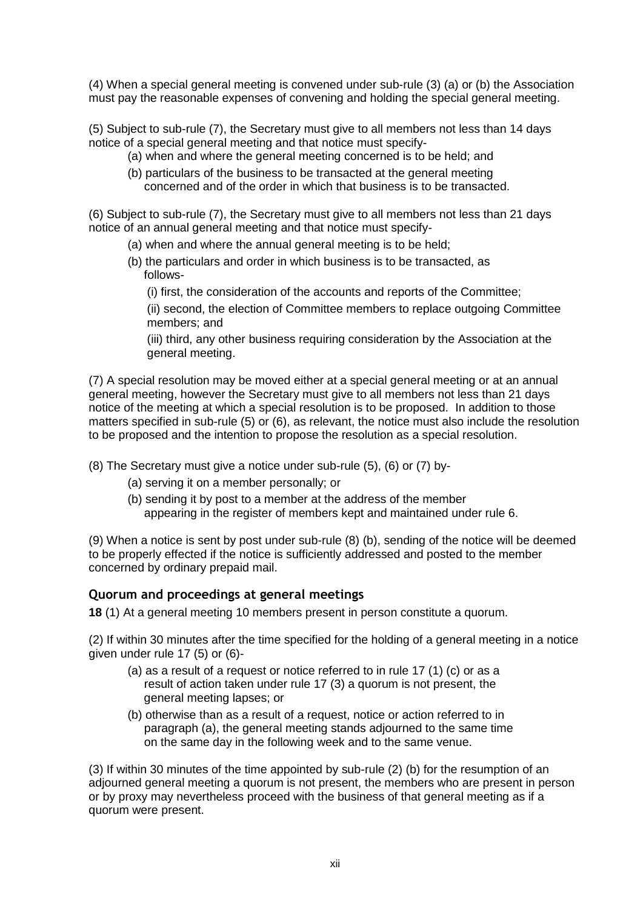(4) When a special general meeting is convened under sub-rule (3) (a) or (b) the Association must pay the reasonable expenses of convening and holding the special general meeting.

(5) Subject to sub-rule (7), the Secretary must give to all members not less than 14 days notice of a special general meeting and that notice must specify-

- (a) when and where the general meeting concerned is to be held; and
- (b) particulars of the business to be transacted at the general meeting concerned and of the order in which that business is to be transacted.

(6) Subject to sub-rule (7), the Secretary must give to all members not less than 21 days notice of an annual general meeting and that notice must specify-

- (a) when and where the annual general meeting is to be held;
- (b) the particulars and order in which business is to be transacted, as follows-
	- (i) first, the consideration of the accounts and reports of the Committee;

(ii) second, the election of Committee members to replace outgoing Committee members; and

(iii) third, any other business requiring consideration by the Association at the general meeting.

(7) A special resolution may be moved either at a special general meeting or at an annual general meeting, however the Secretary must give to all members not less than 21 days notice of the meeting at which a special resolution is to be proposed. In addition to those matters specified in sub-rule (5) or (6), as relevant, the notice must also include the resolution to be proposed and the intention to propose the resolution as a special resolution.

(8) The Secretary must give a notice under sub-rule (5), (6) or (7) by-

- (a) serving it on a member personally; or
- (b) sending it by post to a member at the address of the member appearing in the register of members kept and maintained under rule 6.

(9) When a notice is sent by post under sub-rule (8) (b), sending of the notice will be deemed to be properly effected if the notice is sufficiently addressed and posted to the member concerned by ordinary prepaid mail.

#### **Quorum and proceedings at general meetings**

**18** (1) At a general meeting 10 members present in person constitute a quorum.

(2) If within 30 minutes after the time specified for the holding of a general meeting in a notice given under rule 17 (5) or (6)-

- (a) as a result of a request or notice referred to in rule 17 (1) (c) or as a result of action taken under rule 17 (3) a quorum is not present, the general meeting lapses; or
- (b) otherwise than as a result of a request, notice or action referred to in paragraph (a), the general meeting stands adjourned to the same time on the same day in the following week and to the same venue.

(3) If within 30 minutes of the time appointed by sub-rule (2) (b) for the resumption of an adjourned general meeting a quorum is not present, the members who are present in person or by proxy may nevertheless proceed with the business of that general meeting as if a quorum were present.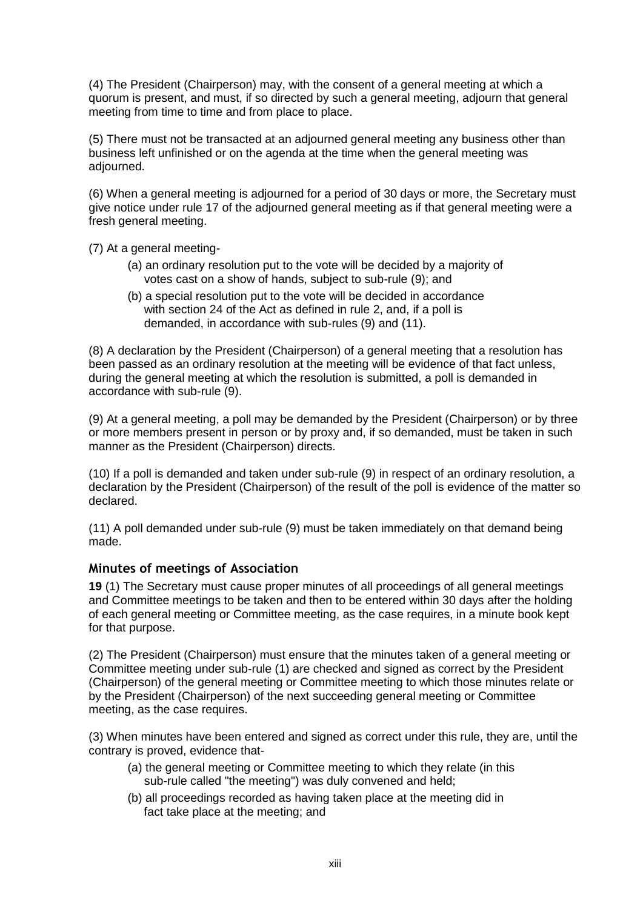(4) The President (Chairperson) may, with the consent of a general meeting at which a quorum is present, and must, if so directed by such a general meeting, adjourn that general meeting from time to time and from place to place.

(5) There must not be transacted at an adjourned general meeting any business other than business left unfinished or on the agenda at the time when the general meeting was adjourned.

(6) When a general meeting is adjourned for a period of 30 days or more, the Secretary must give notice under rule 17 of the adjourned general meeting as if that general meeting were a fresh general meeting.

(7) At a general meeting-

- (a) an ordinary resolution put to the vote will be decided by a majority of votes cast on a show of hands, subject to sub-rule (9); and
- (b) a special resolution put to the vote will be decided in accordance with section 24 of the Act as defined in rule 2, and, if a poll is demanded, in accordance with sub-rules (9) and (11).

(8) A declaration by the President (Chairperson) of a general meeting that a resolution has been passed as an ordinary resolution at the meeting will be evidence of that fact unless, during the general meeting at which the resolution is submitted, a poll is demanded in accordance with sub-rule (9).

(9) At a general meeting, a poll may be demanded by the President (Chairperson) or by three or more members present in person or by proxy and, if so demanded, must be taken in such manner as the President (Chairperson) directs.

(10) If a poll is demanded and taken under sub-rule (9) in respect of an ordinary resolution, a declaration by the President (Chairperson) of the result of the poll is evidence of the matter so declared.

(11) A poll demanded under sub-rule (9) must be taken immediately on that demand being made.

#### **Minutes of meetings of Association**

**19** (1) The Secretary must cause proper minutes of all proceedings of all general meetings and Committee meetings to be taken and then to be entered within 30 days after the holding of each general meeting or Committee meeting, as the case requires, in a minute book kept for that purpose.

(2) The President (Chairperson) must ensure that the minutes taken of a general meeting or Committee meeting under sub-rule (1) are checked and signed as correct by the President (Chairperson) of the general meeting or Committee meeting to which those minutes relate or by the President (Chairperson) of the next succeeding general meeting or Committee meeting, as the case requires.

(3) When minutes have been entered and signed as correct under this rule, they are, until the contrary is proved, evidence that-

- (a) the general meeting or Committee meeting to which they relate (in this sub-rule called "the meeting") was duly convened and held;
- (b) all proceedings recorded as having taken place at the meeting did in fact take place at the meeting; and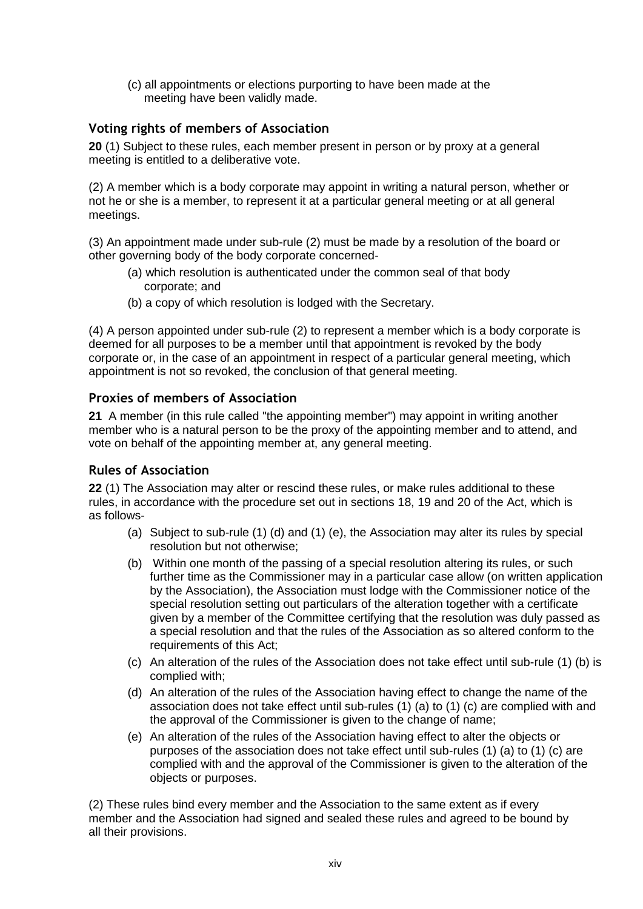(c) all appointments or elections purporting to have been made at the meeting have been validly made.

# **Voting rights of members of Association**

**20** (1) Subject to these rules, each member present in person or by proxy at a general meeting is entitled to a deliberative vote.

(2) A member which is a body corporate may appoint in writing a natural person, whether or not he or she is a member, to represent it at a particular general meeting or at all general meetings.

(3) An appointment made under sub-rule (2) must be made by a resolution of the board or other governing body of the body corporate concerned-

- (a) which resolution is authenticated under the common seal of that body corporate; and
- (b) a copy of which resolution is lodged with the Secretary.

(4) A person appointed under sub-rule (2) to represent a member which is a body corporate is deemed for all purposes to be a member until that appointment is revoked by the body corporate or, in the case of an appointment in respect of a particular general meeting, which appointment is not so revoked, the conclusion of that general meeting.

# **Proxies of members of Association**

**21** A member (in this rule called "the appointing member") may appoint in writing another member who is a natural person to be the proxy of the appointing member and to attend, and vote on behalf of the appointing member at, any general meeting.

# **Rules of Association**

**22** (1) The Association may alter or rescind these rules, or make rules additional to these rules, in accordance with the procedure set out in sections 18, 19 and 20 of the Act, which is as follows-

- (a) Subject to sub-rule (1) (d) and (1) (e), the Association may alter its rules by special resolution but not otherwise;
- (b) Within one month of the passing of a special resolution altering its rules, or such further time as the Commissioner may in a particular case allow (on written application by the Association), the Association must lodge with the Commissioner notice of the special resolution setting out particulars of the alteration together with a certificate given by a member of the Committee certifying that the resolution was duly passed as a special resolution and that the rules of the Association as so altered conform to the requirements of this Act;
- (c) An alteration of the rules of the Association does not take effect until sub-rule (1) (b) is complied with;
- (d) An alteration of the rules of the Association having effect to change the name of the association does not take effect until sub-rules (1) (a) to (1) (c) are complied with and the approval of the Commissioner is given to the change of name;
- (e) An alteration of the rules of the Association having effect to alter the objects or purposes of the association does not take effect until sub-rules (1) (a) to (1) (c) are complied with and the approval of the Commissioner is given to the alteration of the objects or purposes.

(2) These rules bind every member and the Association to the same extent as if every member and the Association had signed and sealed these rules and agreed to be bound by all their provisions.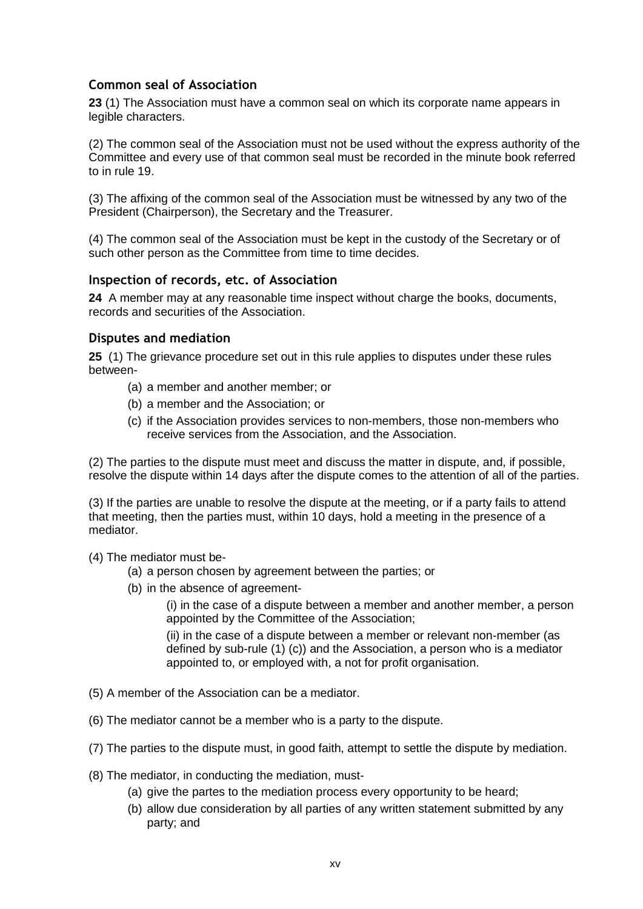# **Common seal of Association**

**23** (1) The Association must have a common seal on which its corporate name appears in legible characters.

(2) The common seal of the Association must not be used without the express authority of the Committee and every use of that common seal must be recorded in the minute book referred to in rule 19.

(3) The affixing of the common seal of the Association must be witnessed by any two of the President (Chairperson), the Secretary and the Treasurer.

(4) The common seal of the Association must be kept in the custody of the Secretary or of such other person as the Committee from time to time decides.

## **Inspection of records, etc. of Association**

**24** A member may at any reasonable time inspect without charge the books, documents, records and securities of the Association.

## **Disputes and mediation**

**25** (1) The grievance procedure set out in this rule applies to disputes under these rules between-

- (a) a member and another member; or
- (b) a member and the Association; or
- (c) if the Association provides services to non-members, those non-members who receive services from the Association, and the Association.

(2) The parties to the dispute must meet and discuss the matter in dispute, and, if possible, resolve the dispute within 14 days after the dispute comes to the attention of all of the parties.

(3) If the parties are unable to resolve the dispute at the meeting, or if a party fails to attend that meeting, then the parties must, within 10 days, hold a meeting in the presence of a mediator.

(4) The mediator must be-

- (a) a person chosen by agreement between the parties; or
- (b) in the absence of agreement-

(i) in the case of a dispute between a member and another member, a person appointed by the Committee of the Association;

(ii) in the case of a dispute between a member or relevant non-member (as defined by sub-rule (1) (c)) and the Association, a person who is a mediator appointed to, or employed with, a not for profit organisation.

- (5) A member of the Association can be a mediator.
- (6) The mediator cannot be a member who is a party to the dispute.
- (7) The parties to the dispute must, in good faith, attempt to settle the dispute by mediation.
- (8) The mediator, in conducting the mediation, must-
	- (a) give the partes to the mediation process every opportunity to be heard;
	- (b) allow due consideration by all parties of any written statement submitted by any party; and